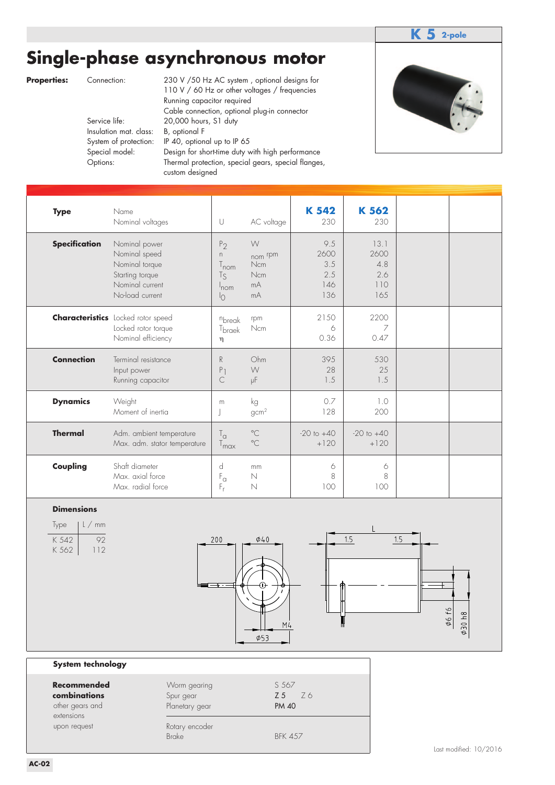## **Single-phase asynchronous motor**



|                                                                                                               |               |                                                                                                                                                                                                                                                                                                                                                                            |                                                                                                     |                                                           |                                                                                                                                                                                                                                                                                                                                              | 2-pole                 |
|---------------------------------------------------------------------------------------------------------------|---------------|----------------------------------------------------------------------------------------------------------------------------------------------------------------------------------------------------------------------------------------------------------------------------------------------------------------------------------------------------------------------------|-----------------------------------------------------------------------------------------------------|-----------------------------------------------------------|----------------------------------------------------------------------------------------------------------------------------------------------------------------------------------------------------------------------------------------------------------------------------------------------------------------------------------------------|------------------------|
| Connection:<br>Service life:<br>Insulation mat. class:<br>System of protection:<br>Special model:<br>Options: | B, optional F |                                                                                                                                                                                                                                                                                                                                                                            |                                                                                                     |                                                           |                                                                                                                                                                                                                                                                                                                                              |                        |
| Name                                                                                                          |               | $\cup$                                                                                                                                                                                                                                                                                                                                                                     | AC voltage                                                                                          | K 542<br>230                                              | K 562<br>230                                                                                                                                                                                                                                                                                                                                 |                        |
| Starting torque                                                                                               |               | P <sub>2</sub><br>$\Gamma$<br>$\mathsf{I}_{\mathsf{nom}}$<br>$T_S$<br>nom<br><sup>I</sup> O                                                                                                                                                                                                                                                                                | W<br>nom rpm<br>Ncm<br>Ncm<br>mA<br>mA                                                              | 9.5<br>2600<br>3.5<br>2.5<br>146<br>136                   | 13.1<br>2600<br>4.8<br>2.6<br>110<br>165                                                                                                                                                                                                                                                                                                     |                        |
|                                                                                                               |               | nbreak<br>T <sub>braek</sub><br>η                                                                                                                                                                                                                                                                                                                                          | rpm<br>Ncm                                                                                          | 2150<br>6<br>0.36                                         | 2200<br>7<br>0.47                                                                                                                                                                                                                                                                                                                            |                        |
| Input power                                                                                                   |               | R<br>P <sub>1</sub><br>C                                                                                                                                                                                                                                                                                                                                                   | Ohm<br>W<br>μF                                                                                      | 395<br>28<br>1.5                                          | 530<br>25<br>1.5                                                                                                                                                                                                                                                                                                                             |                        |
| Weight                                                                                                        |               | m<br>ı                                                                                                                                                                                                                                                                                                                                                                     | kg<br>gcm <sup>2</sup>                                                                              | 0.7<br>128                                                | 1.0<br>200                                                                                                                                                                                                                                                                                                                                   |                        |
|                                                                                                               |               | $T_{\alpha}$<br>T <sub>max</sub>                                                                                                                                                                                                                                                                                                                                           | $^{\circ}$ C<br>$^{\circ}$ C                                                                        | $-20$ to $+40$<br>$+120$                                  | $-20$ to $+40$<br>$+120$                                                                                                                                                                                                                                                                                                                     |                        |
| Shaft diameter                                                                                                |               | d<br>$F_{\alpha}$<br>$F_r$                                                                                                                                                                                                                                                                                                                                                 | mm<br>N<br>N                                                                                        | 6<br>8<br>100                                             | 6<br>8<br>100                                                                                                                                                                                                                                                                                                                                |                        |
|                                                                                                               |               |                                                                                                                                                                                                                                                                                                                                                                            | $\phi$ 40<br>$\phi$ 53                                                                              |                                                           | 1.5                                                                                                                                                                                                                                                                                                                                          | Ø6 f6<br>81060         |
| System technology                                                                                             |               |                                                                                                                                                                                                                                                                                                                                                                            |                                                                                                     |                                                           |                                                                                                                                                                                                                                                                                                                                              |                        |
|                                                                                                               | Spur gear     |                                                                                                                                                                                                                                                                                                                                                                            | Z <sub>5</sub>                                                                                      | Z6                                                        |                                                                                                                                                                                                                                                                                                                                              |                        |
|                                                                                                               | <b>Brake</b>  |                                                                                                                                                                                                                                                                                                                                                                            |                                                                                                     |                                                           |                                                                                                                                                                                                                                                                                                                                              | Last modified: 10/2016 |
| <b>Recommended</b>                                                                                            |               | Nominal voltages<br>Nominal power<br>Nominal speed<br>Nominal torque<br>Nominal current<br>No-load current<br><b>Characteristics</b> Locked rotor speed<br>Locked rotor torque<br>Nominal efficiency<br>Terminal resistance<br>Running capacitor<br>Moment of inertia<br>Adm. ambient temperature<br>Max. adm. stator temperature<br>Max. axial force<br>Max. radial force | 20,000 hours, S1 duty<br>custom designed<br>200<br>Worm gearing<br>Planetary gear<br>Rotary encoder | Running capacitor required<br>IP 40, optional up to IP 65 | Single-phase asynchronous motor<br>230 V /50 Hz AC system, optional designs for<br>110 V / 60 Hz or other voltages / frequencies<br>Cable connection, optional plug-in connector<br>Design for short-time duty with high performance<br>Thermal protection, special gears, special flanges,<br>M4<br>S 567<br><b>PM 40</b><br><b>BFK 457</b> | 1.5                    |

### **Dimensions**

| Type  | L/mm          |
|-------|---------------|
| K 542 | 92            |
| K 562 | $\vert \vert$ |



#### **System technology**

| Recommended<br>combinations<br>other gears and<br>extensions | Worm gearing<br>Spur gear<br>Planetary gear | S 567<br><b>Z5</b> Z6<br><b>PM 40</b> |
|--------------------------------------------------------------|---------------------------------------------|---------------------------------------|
| upon request                                                 | Rotary encoder<br><b>Brake</b>              | <b>BFK 457</b>                        |